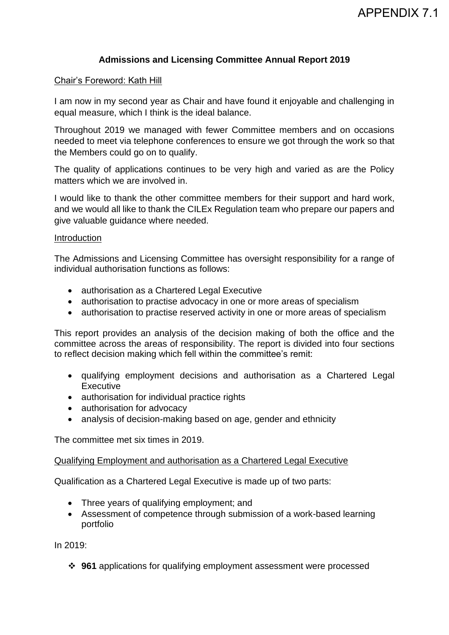# **Admissions and Licensing Committee Annual Report 2019**

#### Chair's Foreword: Kath Hill

I am now in my second year as Chair and have found it enjoyable and challenging in equal measure, which I think is the ideal balance.

Throughout 2019 we managed with fewer Committee members and on occasions needed to meet via telephone conferences to ensure we got through the work so that the Members could go on to qualify.

The quality of applications continues to be very high and varied as are the Policy matters which we are involved in.

I would like to thank the other committee members for their support and hard work, and we would all like to thank the CILEx Regulation team who prepare our papers and give valuable guidance where needed.

#### Introduction

The Admissions and Licensing Committee has oversight responsibility for a range of individual authorisation functions as follows:

- authorisation as a Chartered Legal Executive
- authorisation to practise advocacy in one or more areas of specialism
- authorisation to practise reserved activity in one or more areas of specialism

This report provides an analysis of the decision making of both the office and the committee across the areas of responsibility. The report is divided into four sections to reflect decision making which fell within the committee's remit:

- qualifying employment decisions and authorisation as a Chartered Legal **Executive**
- authorisation for individual practice rights
- authorisation for advocacy
- analysis of decision-making based on age, gender and ethnicity

The committee met six times in 2019.

#### Qualifying Employment and authorisation as a Chartered Legal Executive

Qualification as a Chartered Legal Executive is made up of two parts:

- Three years of qualifying employment; and
- Assessment of competence through submission of a work-based learning portfolio

In 2019:

❖ **961** applications for qualifying employment assessment were processed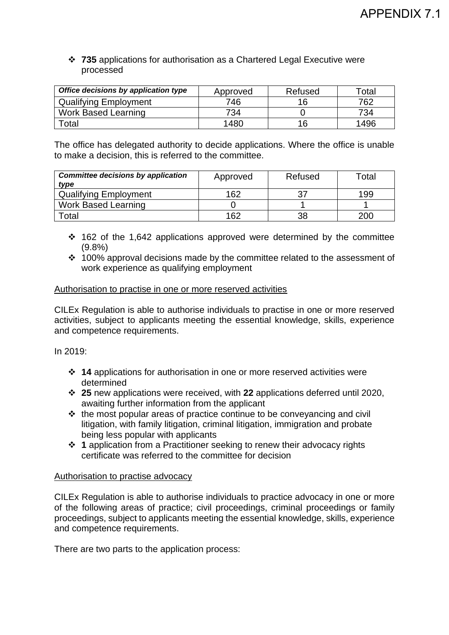## ❖ **735** applications for authorisation as a Chartered Legal Executive were processed

| Office decisions by application type | Approved | Refused | ™otal |
|--------------------------------------|----------|---------|-------|
| <b>Qualifying Employment</b>         | 746      | 16      | 762   |
| <b>Work Based Learning</b>           | 734      |         | 734   |
| Total                                | 1480     | 16      | 1496  |

The office has delegated authority to decide applications. Where the office is unable to make a decision, this is referred to the committee.

| <b>Committee decisions by application</b><br>type | Approved | Refused | Total |
|---------------------------------------------------|----------|---------|-------|
| <b>Qualifying Employment</b>                      | 162      | 27      | 199   |
| <b>Work Based Learning</b>                        |          |         |       |
| Total                                             | 162      | 38      | 200   |

- ❖ 162 of the 1,642 applications approved were determined by the committee (9.8%)
- ❖ 100% approval decisions made by the committee related to the assessment of work experience as qualifying employment

## Authorisation to practise in one or more reserved activities

CILEx Regulation is able to authorise individuals to practise in one or more reserved activities, subject to applicants meeting the essential knowledge, skills, experience and competence requirements.

In 2019:

- ❖ **14** applications for authorisation in one or more reserved activities were determined
- ❖ **25** new applications were received, with **22** applications deferred until 2020, awaiting further information from the applicant
- ❖ the most popular areas of practice continue to be conveyancing and civil litigation, with family litigation, criminal litigation, immigration and probate being less popular with applicants
- ❖ **1** application from a Practitioner seeking to renew their advocacy rights certificate was referred to the committee for decision

## Authorisation to practise advocacy

CILEx Regulation is able to authorise individuals to practice advocacy in one or more of the following areas of practice; civil proceedings, criminal proceedings or family proceedings, subject to applicants meeting the essential knowledge, skills, experience and competence requirements.

There are two parts to the application process: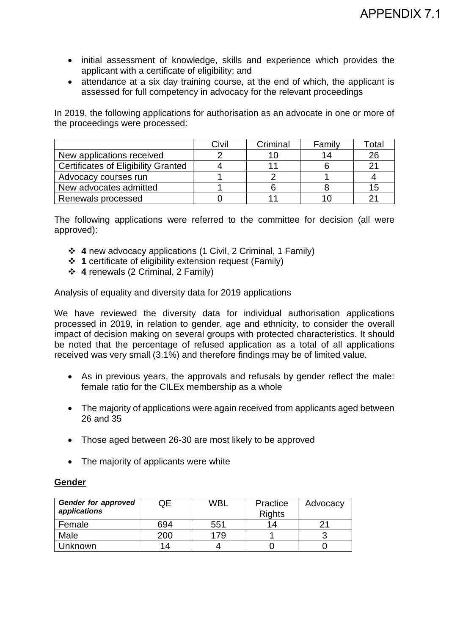- initial assessment of knowledge, skills and experience which provides the applicant with a certificate of eligibility; and
- attendance at a six day training course, at the end of which, the applicant is assessed for full competency in advocacy for the relevant proceedings

In 2019, the following applications for authorisation as an advocate in one or more of the proceedings were processed:

|                                            | Civil | Criminal | Family | Гоtal |
|--------------------------------------------|-------|----------|--------|-------|
| New applications received                  |       |          |        | 26    |
| <b>Certificates of Eligibility Granted</b> |       |          |        | 21    |
| Advocacy courses run                       |       |          |        |       |
| New advocates admitted                     |       |          |        | 15    |
| Renewals processed                         |       |          |        | つっ    |

The following applications were referred to the committee for decision (all were approved):

- ❖ **4** new advocacy applications (1 Civil, 2 Criminal, 1 Family)
- ❖ **1** certificate of eligibility extension request (Family)
- ❖ **4** renewals (2 Criminal, 2 Family)

#### Analysis of equality and diversity data for 2019 applications

We have reviewed the diversity data for individual authorisation applications processed in 2019, in relation to gender, age and ethnicity, to consider the overall impact of decision making on several groups with protected characteristics. It should be noted that the percentage of refused application as a total of all applications received was very small (3.1%) and therefore findings may be of limited value.

- As in previous years, the approvals and refusals by gender reflect the male: female ratio for the CILEx membership as a whole
- The majority of applications were again received from applicants aged between 26 and 35
- Those aged between 26-30 are most likely to be approved
- The majority of applicants were white

## **Gender**

| Gender for approved<br>applications | ЭE  | WBL | Practice<br><b>Rights</b> | Advocacy |
|-------------------------------------|-----|-----|---------------------------|----------|
| Female                              | 694 | 551 | 14                        |          |
| Male                                | 200 | 179 |                           |          |
| Unknown                             | 14  |     |                           |          |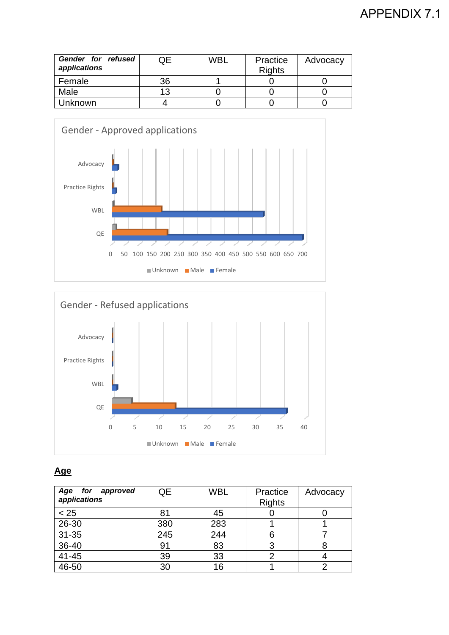# APPENDIX 7.1

| Gender for refused<br>applications | JE | <b>WBL</b> | Practice<br><b>Rights</b> | Advocacy |
|------------------------------------|----|------------|---------------------------|----------|
| Female                             | 36 |            |                           |          |
| Male                               | 13 |            |                           |          |
| Unknown                            |    |            |                           |          |





# **Age**

| Age<br>for approved<br>applications | QE  | <b>WBL</b> | Practice<br><b>Rights</b> | Advocacy |
|-------------------------------------|-----|------------|---------------------------|----------|
| < 25                                | 81  | 45         |                           |          |
| 26-30                               | 380 | 283        |                           |          |
| 31-35                               | 245 | 244        |                           |          |
| 36-40                               | 91  | 83         |                           |          |
| 41-45                               | 39  | 33         |                           |          |
| 46-50                               | 30  | 16         |                           |          |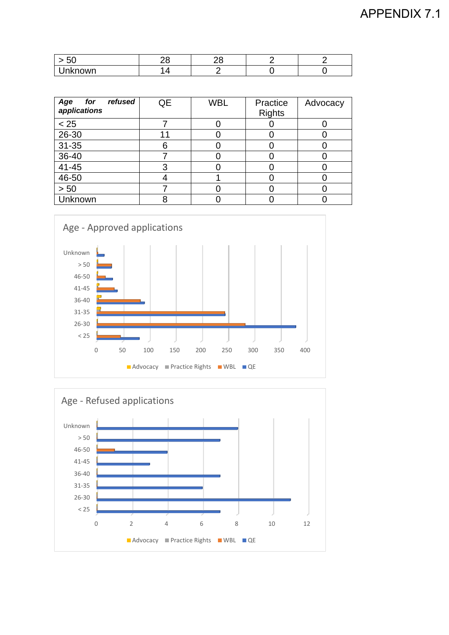| $\sim$ $\sim$<br>JV |  |  |
|---------------------|--|--|
| known<br>. I<br>ıκ  |  |  |

| Age<br>refused<br>for<br>applications | QE | <b>WBL</b> | Practice<br><b>Rights</b> | Advocacy |
|---------------------------------------|----|------------|---------------------------|----------|
| < 25                                  |    |            |                           |          |
| 26-30                                 | 11 |            |                           |          |
| 31-35                                 | 6  |            |                           |          |
| 36-40                                 |    |            |                           |          |
| 41-45                                 | 3  |            |                           |          |
| 46-50                                 |    |            |                           |          |
| > 50                                  |    |            |                           |          |
| Unknown                               |    |            |                           |          |



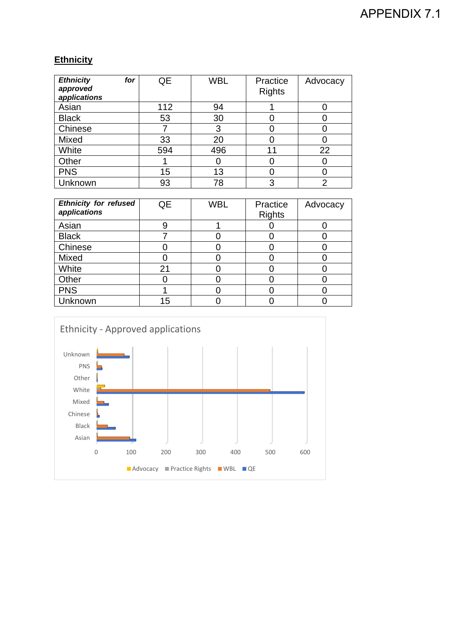# APPENDIX 7.1

# **Ethnicity**

| <b>Ethnicity</b><br>for<br>approved<br>applications | QE  | <b>WBL</b> | Practice<br><b>Rights</b> | Advocacy |
|-----------------------------------------------------|-----|------------|---------------------------|----------|
| Asian                                               | 112 | 94         |                           |          |
| <b>Black</b>                                        | 53  | 30         |                           |          |
| Chinese                                             |     | 3          |                           |          |
| Mixed                                               | 33  | 20         |                           |          |
| White                                               | 594 | 496        | 11                        | 22       |
| Other                                               |     |            |                           |          |
| <b>PNS</b>                                          | 15  | 13         |                           |          |
| Unknown                                             | 93  | 78         | 3                         | 2        |

| <b>Ethnicity for refused</b><br>applications | QE | <b>WBL</b> | Practice<br><b>Rights</b> | Advocacy |
|----------------------------------------------|----|------------|---------------------------|----------|
| Asian                                        |    |            |                           |          |
| <b>Black</b>                                 |    |            |                           |          |
| Chinese                                      |    |            |                           |          |
| Mixed                                        |    |            |                           |          |
| White                                        | 21 |            |                           |          |
| Other                                        |    |            |                           |          |
| <b>PNS</b>                                   |    |            |                           |          |
| Unknown                                      | 15 |            |                           |          |

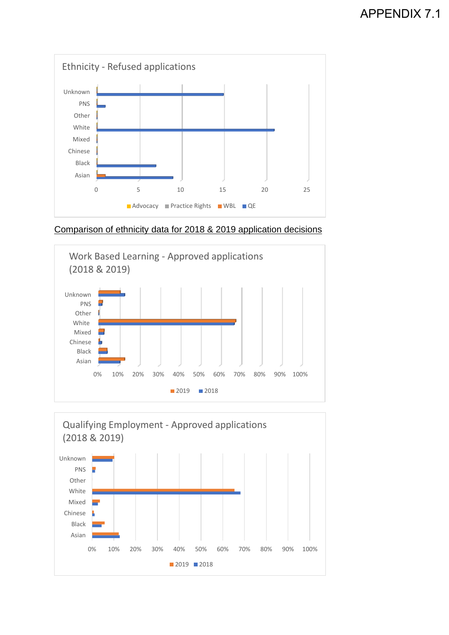

Comparison of ethnicity data for 2018 & 2019 application decisions



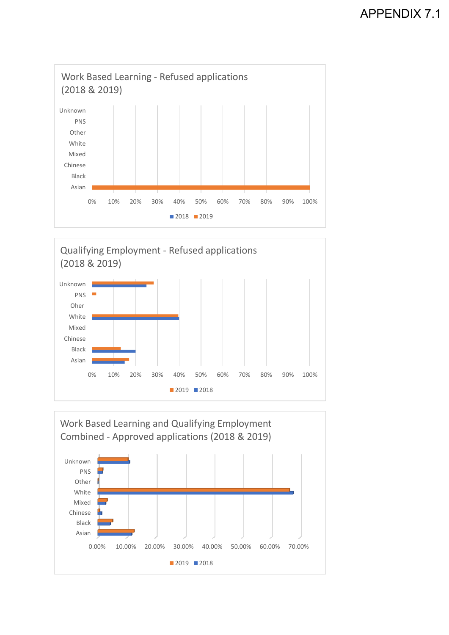